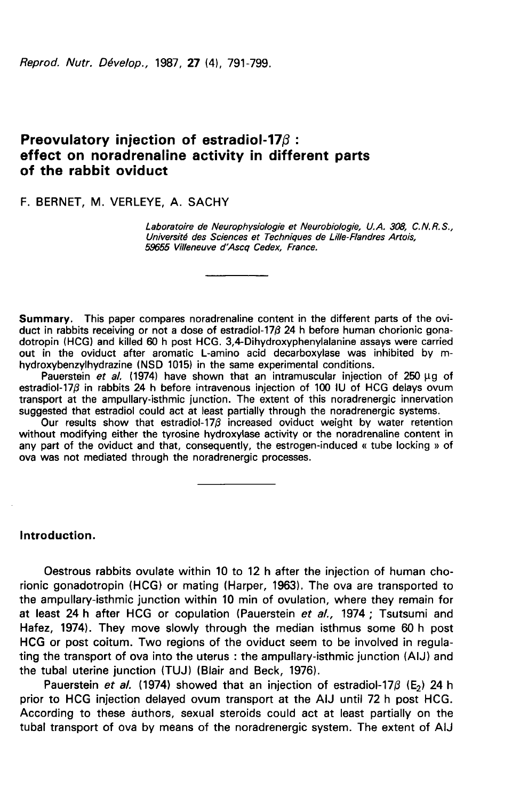Reprod. Nutr. Dévelop., 1987, 27 (4), 791-799.

# Preovulatory injection of estradiol-17β : effect on noradrenaline activity in different parts of the rabbit oviduct

F. BERNET, M. VERLEYE, A. SACHY

Laboratoire de Neurophysiologie et Neurobiologie, U.A. 308, C.N.R.S., Université des Sciences et Techniques de Lille-Flandres Artois, 59655 Villeneuve d'Ascq Cedex, France.

Summary. This paper compares noradrenaline content in the different parts of the oviduct in rabbits receiving or not a dose of estradiol-17 $\beta$  24 h before human chorionic gonadotropin (HCG) and killed 60 h post HCG. 3,4-Dihydroxyphenylalanine assays were carried out in the oviduct after aromatic L-amino acid decarboxylase was inhibited by mhydroxybenzylhydrazine (NSD 1015) in the same experimental conditions.

Pauerstein et al. (1974) have shown that an intramuscular injection of 250  $\mu$ g of estradiol-17 $\beta$  in rabbits 24 h before intravenous injection of 100 IU of HCG delays ovum transport at the ampullary-isthmic junction. The extent of this noradrenergic innervation suggested that estradiol could act at least partially through the noradrenergic systems.

Our results show that estradiol-17 $\beta$  increased oviduct weight by water retention without modifying either the tyrosine hydroxylase activity or the noradrenaline content in any part of the oviduct and that, consequently, the estrogen-induced « tube locking » of ova was not mediated through the noradrenergic processes.

Introduction.

Oestrous rabbits ovulate within 10 to 12 h after the injection of human chorionic gonadotropin (HCG) or mating (Harper, 1963). The ova are transported to the ampullary-isthmic junction within 10 min of ovulation, where they remain for at least 24 h after HCG or copulation (Pauerstein et al., 1974; Tsutsumi and Hafez, 1974). They move slowly through the median isthmus some 60 h post HCG or post coitum. Two regions of the oviduct seem to be involved in regulating the transport of ova into the uterus : the ampullary-isthmic junction (AIJ) and the tubal uterine junction (TUJ) (Blair and Beck, 1976).

Pauerstein et al. (1974) showed that an injection of estradiol-17 $\beta$  (E<sub>2</sub>) 24 h prior to HCG injection delayed ovum transport at the AIJ until 72 h post HCG. According to these authors, sexual steroids could act at least partially on the tubal transport of ova by means of the noradrenergic system. The extent of AIJ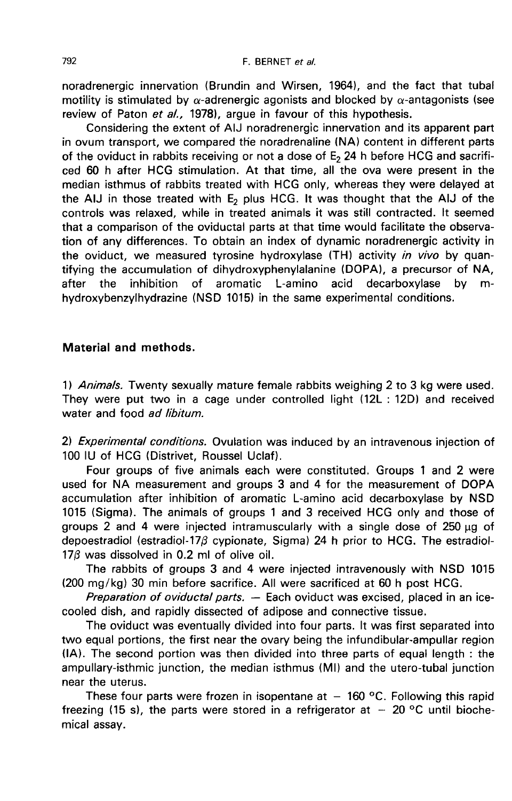noradrenergic innervation (Brundin and Wirsen, 1964), and the fact that tubal motility is stimulated by  $\alpha$ -adrenergic agonists and blocked by  $\alpha$ -antagonists (see review of Paton et al., 1978), argue in favour of this hypothesis.

Considering the extent of AIJ noradrenergic innervation and its apparent part in ovum transport, we compared the noradrenaline (NA) content in different parts of the oviduct in rabbits receiving or not a dose of  $E<sub>2</sub>$  24 h before HCG and sacrificed 60 h after HCG stimulation. At that time, all the ova were present in the median isthmus of rabbits treated with HCG only, whereas they were delayed at the AIJ in those treated with  $E_2$  plus HCG. It was thought that the AIJ of the controls was relaxed, while in treated animals it was still contracted. It seemed that a comparison of the oviductal parts at that time would facilitate the observation of any differences. To obtain an index of dynamic noradrenergic activity in the oviduct, we measured tyrosine hydroxylase (TH) activity in vivo by quantifying the accumulation of dihydroxyphenylalanine (DOPA), a precursor of NA,<br>after the inhibition of aromatic L-amino acid decarboxylase by mafter the inhibition of aromatic L-amino acid decarboxylase by mhydroxybenzylhydrazine (NSD 1015) in the same experimental conditions.

## Material and methods.

1) Animals. Twenty sexually mature female rabbits weighing 2 to 3 kg were used. They were put two in a cage under controlled light (12L : 12D) and received water and food ad libitum.

2) Experimental conditions. Ovulation was induced by an intravenous injection of 100 IU of HCG (Distrivet, Roussel Uclaf).

Four groups of five animals each were constituted. Groups 1 and 2 were used for NA measurement and groups 3 and 4 for the measurement of DOPA accumulation after inhibition of aromatic L-amino acid decarboxylase by NSD 1015 (Sigma). The animals of groups 1 and 3 received HCG only and those of groups 2 and 4 were injected intramuscularly with a single dose of 250 µg of depoestradiol (estradiol-17 $\beta$  cypionate, Sigma) 24 h prior to HCG. The estradiol-176 was dissolved in 0.2 ml of olive oil.

The rabbits of groups 3 and 4 were injected intravenously with NSD 1015 (200 mg/kg) 30 min before sacrifice. All were sacrificed at 60 h post HCG.

Preparation of oviductal parts.  $-$  Each oviduct was excised, placed in an icecooled dish, and rapidly dissected of adipose and connective tissue.

The oviduct was eventually divided into four parts. It was first separated into two equal portions, the first near the ovary being the infundibular-ampullar region (IA). The second portion was then divided into three parts of equal length : the ampullary-isthmic junction, the median isthmus (MI) and the utero-tubal junction near the uterus.

These four parts were frozen in isopentane at  $-160$  °C. Following this rapid freezing (15 s), the parts were stored in a refrigerator at  $-20$  °C until biochemical assay.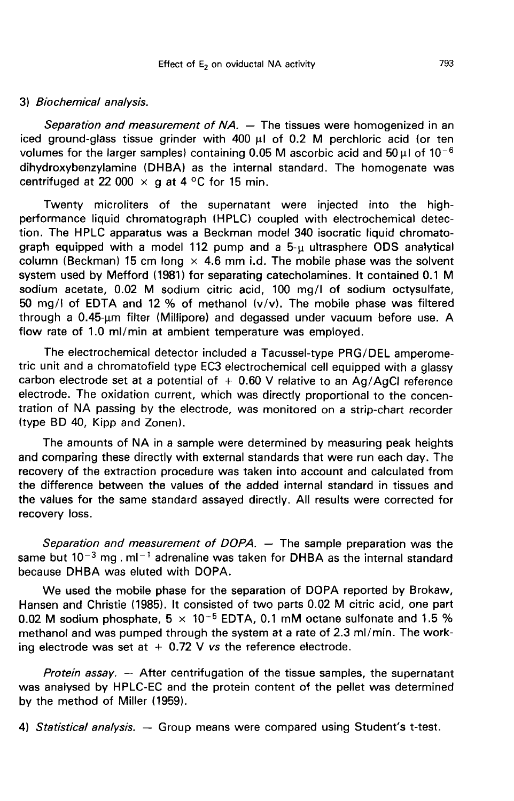### 3) Biochemical analysis.

Separation and measurement of NA. — The tissues were homogenized in an iced ground-glass tissue grinder with 400  $\mu$ I of 0.2 M perchloric acid (or ten volumes for the larger samples) containing 0.05 M ascorbic acid and  $50 \mu$ I of  $10^{-6}$ dihydroxybenzylamine (DHBA) as the internal standard. The homogenate was centrifuged at 22 000  $\times$  g at 4 °C for 15 min.

Twenty microliters of the supernatant were injected into the highperformance liquid chromatograph (HPLC) coupled with electrochemical detection. The HPLC apparatus was a Beckman model 340 isocratic liquid chromatograph equipped with a model 112 pump and a 5-µ ultrasphere ODS analytical column (Beckman) 15 cm long  $\times$  4.6 mm i.d. The mobile phase was the solvent system used by Mefford (1981) for separating catecholamines. It contained 0.1 M sodium acetate, 0.02 M sodium citric acid, 100 mg/I of sodium octysulfate, 50 mg/I of EDTA and 12 % of methanol (v/v). The mobile phase was filtered through a 0.45-um filter (Millipore) and degassed under vacuum before use. A flow rate of 1.0 ml/min at ambient temperature was employed.

The electrochemical detector included a Tacussel-type PRG/DEL amperometric unit and a chromatofield type EC3 electrochemical cell equipped with a glassy carbon electrode set at a potential of  $+$  0.60 V relative to an Ag/AgCI reference electrode. The oxidation current, which was directly proportional to the concentration of NA passing by the electrode, was monitored on a strip-chart recorder (type BD 40, Kipp and Zonen).

The amounts of NA in a sample were determined by measuring peak heights and comparing these directly with external standards that were run each day. The recovery of the extraction procedure was taken into account and calculated from the difference between the values of the added internal standard in tissues and the values for the same standard assayed directly. All results were corrected for recovery loss.

Separation and measurement of DOPA. — The sample preparation was the same but  $10^{-3}$  mg . ml<sup>-1</sup> adrenaline was taken for DHBA as the internal standard because DHBA was eluted with DOPA.

We used the mobile phase for the separation of DOPA reported by Brokaw, Hansen and Christie (1985). It consisted of two parts 0.02 M citric acid, one part 0.02 M sodium phosphate,  $5 \times 10^{-5}$  EDTA, 0.1 mM octane sulfonate and 1.5 % methanol and was pumped through the system at a rate of 2.3 ml/min. The working electrode was set at  $+$  0.72 V vs the reference electrode.

*Protein assay.* — After centrifugation of the tissue samples, the supernatant was analysed by HPLC-EC and the protein content of the pellet was determined by the method of Miller (1959).

4) Statistical analysis.  $-$  Group means were compared using Student's t-test.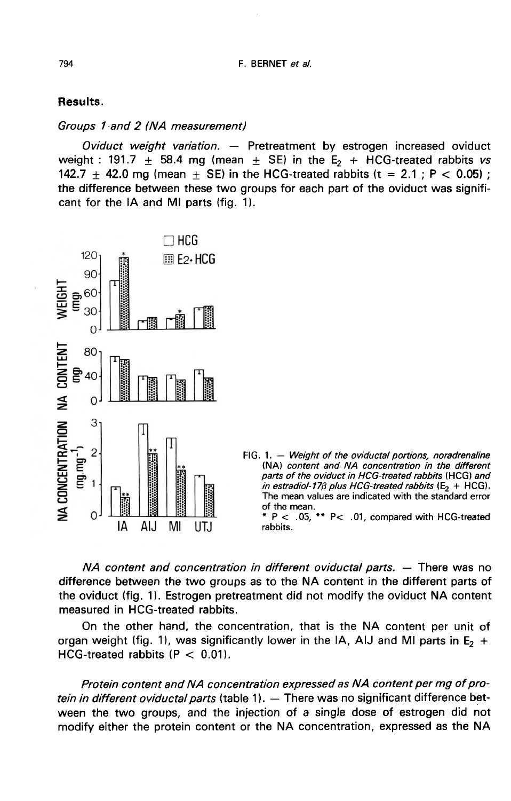## Results.

#### Groups 1 -and 2 (NA measurement)

Oviduct weight variation. - Pretreatment by estrogen increased oviduct weight : 191.7  $\pm$  58.4 mg (mean  $\pm$  SE) in the E<sub>2</sub> + HCG-treated rabbits vs 142.7  $\pm$  42.0 mg (mean  $\pm$  SE) in the HCG-treated rabbits (t = 2.1; P < 0.05); the difference between these two groups for each part of the oviduct was signifi cant for the IA and MI parts (fig. 1).



NA content and concentration in different oviductal parts. ― There was no difference between the two groups as to the NA content in the different parts of the oviduct (fig. 11. Estrogen pretreatment did not modify the oviduct NA content measured in HCG-treated rabbits.

On the other hand, the concentration, that is the NA content per unit of organ weight (fig. 1), was significantly lower in the IA, AIJ and MI parts in  $E_2$  + HCG-treated rabbits  $(P < 0.01)$ .

Protein content and NA concentration expressed as NA content per mg of protein in different oviductal parts (table 1). - There was no significant difference between the two groups, and the injection of a single dose of estrogen did not modify either the protein content or the NA concentration, expressed as the NA

794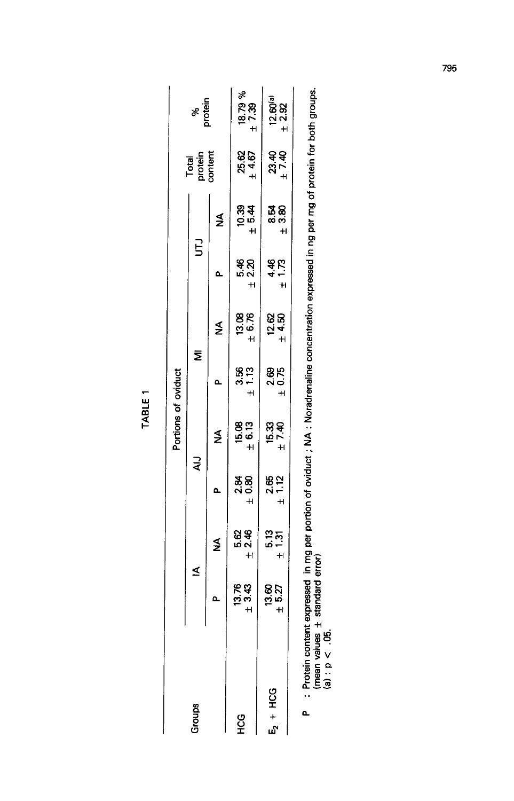| ٠ |  |
|---|--|
|   |  |
|   |  |

|                 |                                                |                       |                   | Portions of oviduct   |                                                                                                  |                      |                    |                   |                                                                |                             |
|-----------------|------------------------------------------------|-----------------------|-------------------|-----------------------|--------------------------------------------------------------------------------------------------|----------------------|--------------------|-------------------|----------------------------------------------------------------|-----------------------------|
| <b>Groups</b>   |                                                | ≤                     | ₹                 |                       | Σ                                                                                                |                      | 5                  |                   | Total<br>protein<br>content                                    | wapak<br>S                  |
|                 |                                                | ≸                     | ≏                 | ≸                     | Δ                                                                                                | ≸                    | ۵                  | ≸                 |                                                                |                             |
| 92<br>H         | $13.76$<br>$\pm 3.43$                          | #<br>አ<br>የ<br>የ<br>የ | 4 0.84<br>여<br>58 | $15.08$<br>$\pm 6.73$ | 3.56<br>+ 1.13                                                                                   | 13.86<br>#<br>#      | ន<br>មិន<br>+<br>+ | 1<br>0.94<br>0.94 | 25.67<br>+ 4.67                                                | $18.79%$<br>$\pm 7.39$      |
| $5 + HC$        | $\begin{array}{c} 13.60 \\ + 5.27 \end{array}$ | 5.13<br>+<br>+        | 2.65<br>± 1.2     | 15.4<br>15.49         | 2.68<br>± 4<br>± 4                                                                               | ្អ<br>24<br>28<br>28 | $4.73$<br>$4.73$   | 885<br>88<br>88   | 334<br>234<br>1                                                | $12.60^{(a)}$<br>$\pm 2.92$ |
| Protein content |                                                |                       |                   |                       | expressed in ma per portion of ovidiet $\cdot$ NA $\cdot$ Norsdropelino concentration currences. |                      |                    |                   | $\ddot{a}$ , $\ddot{a}$ , $\ddot{a}$ , $\ddot{a}$ , $\ddot{a}$ |                             |

i rocent content expressed in mg per portion of oviduct ; NA : Noradrenaline concentration expressed in ng per mg of protein for both groups.<br>(mean values ± standard error)<br>(a) : p < .05. k,

795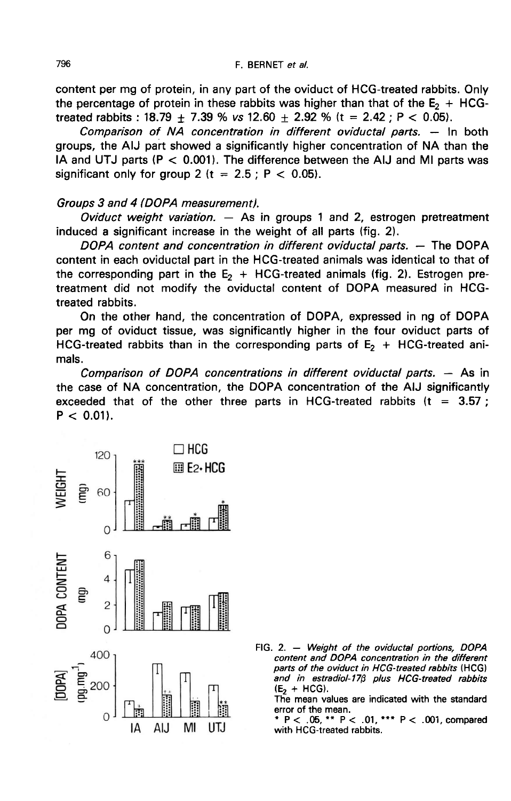content per mg of protein, in any part of the oviduct of HCG-treated rabbits. Only the percentage of protein in these rabbits was higher than that of the  $E<sub>2</sub>$  + HCGtreated rabbits : 18.79  $\pm$  7.39 % vs 12.60  $\pm$  2.92 % (t = 2.42 ; P < 0.05).

Comparison of NA concentration in different oviductal parts. ― In both groups, the AIJ part showed a significantly higher concentration of NA than the IA and UTJ parts ( $P < 0.001$ ). The difference between the AIJ and MI parts was significant only for group 2 ( $t = 2.5$ ;  $P < 0.05$ ).

### Groups 3 and 4 (DOPA measurement).

Oviduct weight variation.  $-$  As in groups 1 and 2, estrogen pretreatment induced a significant increase in the weight of all parts (fig. 2).

DOPA content and concentration in different oviductal parts. ― The DOPA content in each oviductal part in the HCG-treated animals was identical to that of the corresponding part in the  $E<sub>2</sub>$  + HCG-treated animals (fig. 2). Estrogen pretreatment did not modify the oviductal content of DOPA measured in HCGtreated rabbits.

On the other hand, the concentration of DOPA, expressed in ng of DOPA per mg of oviduct tissue, was significantly higher in the four oviduct parts of HCG-treated rabbits than in the corresponding parts of  $E<sub>2</sub> + HCG-treated ani$ mals.

Comparison of DOPA concentrations in different oviductal parts. ― As in the case of NA concentration, the DOPA concentration of the AIJ significantly exceeded that of the other three parts in HCG-treated rabbits ( $t = 3.57$ );  $P < 0.01$ ).



FIG. 2. - Weight of the oviductal portions, DOPA content and DOPA concentration in the different parts of the oviduct in HCG-treated rabbits (HCG) and in estradiol-176 plus HCG-treated rabbits  $(E_2 + HCG)$ .

The mean values are indicated with the standard error of the mean.

\* P < .05, \*\* P < .01, \*\*\* P < .001, compared with HCG-treated rabbits.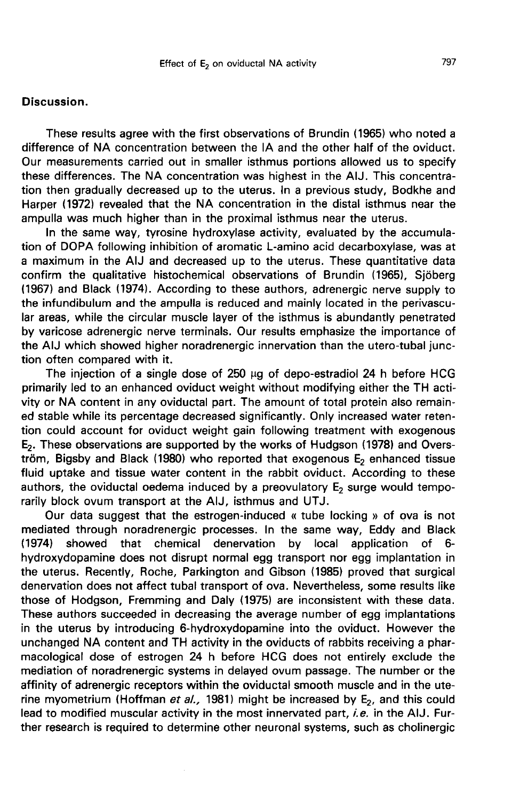## Discussion.

These results agree with the first observations of Brundin (1965) who noted a difference of NA concentration between the IA and the other half of the oviduct. Our measurements carried out in smaller isthmus portions allowed us to specify these differences. The NA concentration was highest in the AIJ. This concentration then gradually decreased up to the uterus. In a previous study, Bodkhe and Harper (1972) revealed that the NA concentration in the distal isthmus near the ampulla was much higher than in the proximal isthmus near the uterus.

In the same way, tyrosine hydroxylase activity, evaluated by the accumulation of DOPA following inhibition of aromatic L-amino acid decarboxylase, was at a maximum in the AIJ and decreased up to the uterus. These quantitative data confirm the qualitative histochemical observations of Brundin (1965), Sjöberg (1967) and Black (1974). According to these authors, adrenergic nerve supply to the infundibulum and the ampulla is reduced and mainly located in the perivascular areas, while the circular muscle layer of the isthmus is abundantly penetrated by varicose adrenergic nerve terminals. Our results emphasize the importance of the AIJ which showed higher noradrenergic innervation than the utero-tubal junction often compared with it.

The injection of a single dose of  $250 \mu g$  of depo-estradiol  $24 \ h$  before HCG primarily led to an enhanced oviduct weight without modifying either the TH activity or NA content in any oviductal part. The amount of total protein also remained stable while its percentage decreased significantly. Only increased water retention could account for oviduct weight gain following treatment with exogenous E<sub>2</sub>. These observations are supported by the works of Hudgson (1978) and Overs $t_{\rm r}$ <sub>c</sub> Bigsby and Black (1980) who reported that exogenous  $E_2$  enhanced tissue fluid uptake and tissue water content in the rabbit oviduct. According to these authors, the oviductal oedema induced by a preovulatory  $E_2$  surge would temporarily block ovum transport at the AIJ, isthmus and UTJ.

Our data suggest that the estrogen-induced « tube locking » of ova is not mediated through noradrenergic processes. In the same way, Eddy and Black<br>(1974) showed that chemical denervation by local application of 6showed that chemical denervation by local application of 6hydroxydopamine does not disrupt normal egg transport nor egg implantation in the uterus. Recently, Roche, Parkington and Gibson (1985) proved that surgical denervation does not affect tubal transport of ova. Nevertheless, some results like those of Hodgson, Fremming and Daly (1975) are inconsistent with these data. These authors succeeded in decreasing the average number of egg implantations in the uterus by introducing 6-hydroxydopamine into the oviduct. However the unchanged NA content and TH activity in the oviducts of rabbits receiving a pharmacological dose of estrogen 24 h before HCG does not entirely exclude the mediation of noradrenergic systems in delayed ovum passage. The number or the affinity of adrenergic receptors within the oviductal smooth muscle and in the uterine myometrium (Hoffman et al., 1981) might be increased by  $E_2$ , and this could lead to modified muscular activity in the most innervated part, i.e. in the AIJ. Further research is required to determine other neuronal systems, such as cholinergic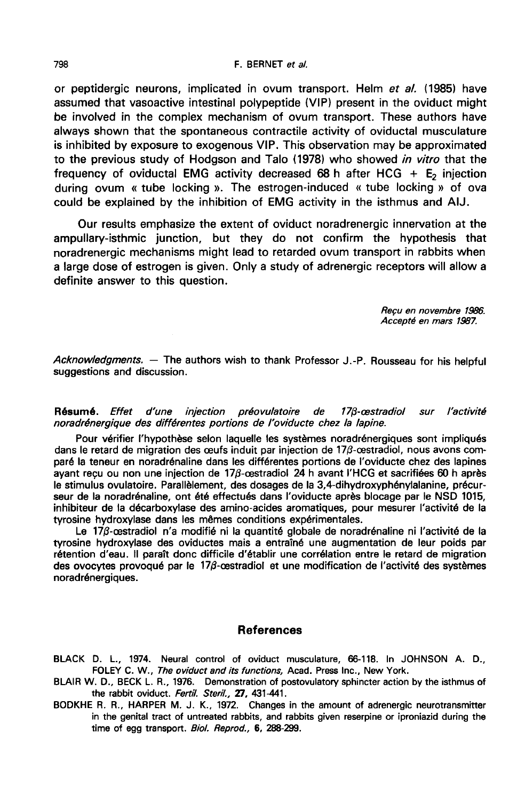#### F. BERNET et al.

or peptidergic neurons, implicated in ovum transport. Helm et al. (1985) have assumed that vasoactive intestinal polypeptide (VIP) present in the oviduct might be involved in the complex mechanism of ovum transport. These authors have always shown that the spontaneous contractile activity of oviductal musculature is inhibited by exposure to exogenous VIP. This observation may be approximated to the previous study of Hodgson and Talo (1978) who showed in vitro that the frequency of oviductal EMG activity decreased 68 h after HCG  $+ E<sub>2</sub>$  injection during ovum « tube locking ». The estrogen-induced « tube locking » of ova could be explained by the inhibition of EMG activity in the isthmus and AIJ.

Our results emphasize the extent of oviduct noradrenergic innervation at the ampullary-isthmic junction, but they do not confirm the hypothesis that noradrenergic mechanisms might lead to retarded ovum transport in rabbits when a large dose of estrogen is given. Only a study of adrenergic receptors will allow a definite answer to this question.

> Recu en novembre 1986. Accepté en mars 1997.

Acknowledgments. — The authors wish to thank Professor J.-P. Rousseau for his helpful<br>suggestions and discussion.

Résumé Maria Constantino de la latin de la latin de la latin de la latin de la latin de la latin de la lagisla<br>Suggestions and discussion.<br>The latin de la latin d'une différentes portions de l'oviducte chez la lapine.

Pour vérifier l'hypothèse selon laquelle les systèmes noradrénergiques sont impliqués dans le retard de migration des œufs induit par injection de 17 $\beta$ -cestradiol, nous avons comparé la teneur en noradrénaline dans les différentes portions de l'oviducte chez des lapines ayant reçu ou non une injection de 17ß-œstradiol 24 h avant l'HCG et sacrifiées 60 h après<br>le stimulus ovulatoire. Parallèlement, des dosages de la 3,4-dihydroxyphénylalanine, précurseur de la noradrénaline, ont été effectués dans l'oviducte après blocage par le NSD 1015, inhibiteur de la décarboxylase des amino-acides aromatiques, pour mesurer l'activité de la tyrosine hydroxylase dans les mêmes conditions expérimentales.

Le 17 $\beta$ -cestradiol n'a modifié ni la quantité globale de noradrénaline ni l'activité de la tyrosine hydroxylase des oviductes mais a entraîné une augmentation de leur poids par rétention d'eau. Il paraît donc difficile d'établir une corrélation entre le retard de migration des ovocytes provoqué par le  $17\beta$ -cestradiol et une modification de l'activité des systèmes noradrénergiques.

#### References

BLACK D. L., 1974. Neural control of oviduct musculature, 66-118. In JOHNSON A. D., FOLEY C. W., The oviduct and its functions, Acad. Press Inc., New York.

- BLAIR W. D., BECK L. R., 1976. Demonstration of postovulatory sphincter action by the isthmus of the rabbit oviduct. Fertil. Steril., 27, 431-441.
- BODKHE R. R., HARPER M. J. K., 1972. Changes in the amount of adrenergic neurotransmitter in the genital tract of untreated rabbits, and rabbits given reserpine or iproniazid during the time of egg transport. Biol. Reprod., 6, 288-299.

798